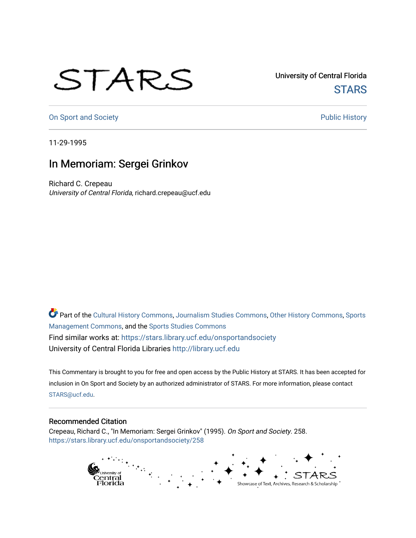## STARS

University of Central Florida **STARS** 

[On Sport and Society](https://stars.library.ucf.edu/onsportandsociety) **Public History** Public History

11-29-1995

## In Memoriam: Sergei Grinkov

Richard C. Crepeau University of Central Florida, richard.crepeau@ucf.edu

Part of the [Cultural History Commons](http://network.bepress.com/hgg/discipline/496?utm_source=stars.library.ucf.edu%2Fonsportandsociety%2F258&utm_medium=PDF&utm_campaign=PDFCoverPages), [Journalism Studies Commons,](http://network.bepress.com/hgg/discipline/333?utm_source=stars.library.ucf.edu%2Fonsportandsociety%2F258&utm_medium=PDF&utm_campaign=PDFCoverPages) [Other History Commons,](http://network.bepress.com/hgg/discipline/508?utm_source=stars.library.ucf.edu%2Fonsportandsociety%2F258&utm_medium=PDF&utm_campaign=PDFCoverPages) [Sports](http://network.bepress.com/hgg/discipline/1193?utm_source=stars.library.ucf.edu%2Fonsportandsociety%2F258&utm_medium=PDF&utm_campaign=PDFCoverPages) [Management Commons](http://network.bepress.com/hgg/discipline/1193?utm_source=stars.library.ucf.edu%2Fonsportandsociety%2F258&utm_medium=PDF&utm_campaign=PDFCoverPages), and the [Sports Studies Commons](http://network.bepress.com/hgg/discipline/1198?utm_source=stars.library.ucf.edu%2Fonsportandsociety%2F258&utm_medium=PDF&utm_campaign=PDFCoverPages) Find similar works at: <https://stars.library.ucf.edu/onsportandsociety> University of Central Florida Libraries [http://library.ucf.edu](http://library.ucf.edu/) 

This Commentary is brought to you for free and open access by the Public History at STARS. It has been accepted for inclusion in On Sport and Society by an authorized administrator of STARS. For more information, please contact [STARS@ucf.edu](mailto:STARS@ucf.edu).

## Recommended Citation

Crepeau, Richard C., "In Memoriam: Sergei Grinkov" (1995). On Sport and Society. 258. [https://stars.library.ucf.edu/onsportandsociety/258](https://stars.library.ucf.edu/onsportandsociety/258?utm_source=stars.library.ucf.edu%2Fonsportandsociety%2F258&utm_medium=PDF&utm_campaign=PDFCoverPages)

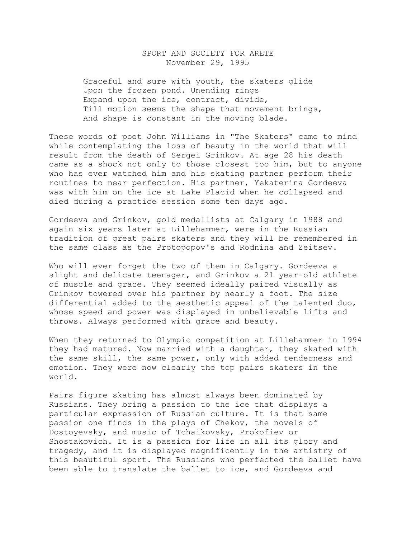## SPORT AND SOCIETY FOR ARETE November 29, 1995

 Graceful and sure with youth, the skaters glide Upon the frozen pond. Unending rings Expand upon the ice, contract, divide, Till motion seems the shape that movement brings, And shape is constant in the moving blade.

These words of poet John Williams in "The Skaters" came to mind while contemplating the loss of beauty in the world that will result from the death of Sergei Grinkov. At age 28 his death came as a shock not only to those closest too him, but to anyone who has ever watched him and his skating partner perform their routines to near perfection. His partner, Yekaterina Gordeeva was with him on the ice at Lake Placid when he collapsed and died during a practice session some ten days ago.

Gordeeva and Grinkov, gold medallists at Calgary in 1988 and again six years later at Lillehammer, were in the Russian tradition of great pairs skaters and they will be remembered in the same class as the Protopopov's and Rodnina and Zeitsev.

Who will ever forget the two of them in Calgary. Gordeeva a slight and delicate teenager, and Grinkov a 21 year-old athlete of muscle and grace. They seemed ideally paired visually as Grinkov towered over his partner by nearly a foot. The size differential added to the aesthetic appeal of the talented duo, whose speed and power was displayed in unbelievable lifts and throws. Always performed with grace and beauty.

When they returned to Olympic competition at Lillehammer in 1994 they had matured. Now married with a daughter, they skated with the same skill, the same power, only with added tenderness and emotion. They were now clearly the top pairs skaters in the world.

Pairs figure skating has almost always been dominated by Russians. They bring a passion to the ice that displays a particular expression of Russian culture. It is that same passion one finds in the plays of Chekov, the novels of Dostoyevsky, and music of Tchaikovsky, Prokofiev or Shostakovich. It is a passion for life in all its glory and tragedy, and it is displayed magnificently in the artistry of this beautiful sport. The Russians who perfected the ballet have been able to translate the ballet to ice, and Gordeeva and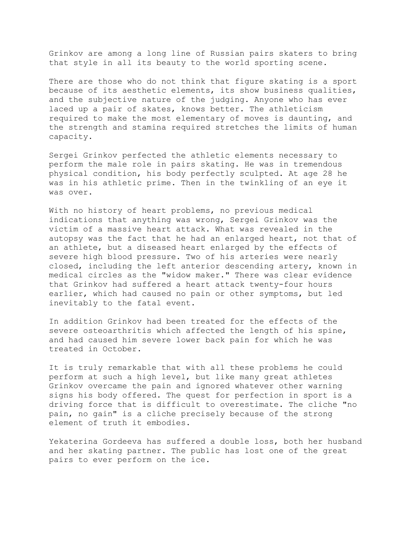Grinkov are among a long line of Russian pairs skaters to bring that style in all its beauty to the world sporting scene.

There are those who do not think that figure skating is a sport because of its aesthetic elements, its show business qualities, and the subjective nature of the judging. Anyone who has ever laced up a pair of skates, knows better. The athleticism required to make the most elementary of moves is daunting, and the strength and stamina required stretches the limits of human capacity.

Sergei Grinkov perfected the athletic elements necessary to perform the male role in pairs skating. He was in tremendous physical condition, his body perfectly sculpted. At age 28 he was in his athletic prime. Then in the twinkling of an eye it was over.

With no history of heart problems, no previous medical indications that anything was wrong, Sergei Grinkov was the victim of a massive heart attack. What was revealed in the autopsy was the fact that he had an enlarged heart, not that of an athlete, but a diseased heart enlarged by the effects of severe high blood pressure. Two of his arteries were nearly closed, including the left anterior descending artery, known in medical circles as the "widow maker." There was clear evidence that Grinkov had suffered a heart attack twenty-four hours earlier, which had caused no pain or other symptoms, but led inevitably to the fatal event.

In addition Grinkov had been treated for the effects of the severe osteoarthritis which affected the length of his spine, and had caused him severe lower back pain for which he was treated in October.

It is truly remarkable that with all these problems he could perform at such a high level, but like many great athletes Grinkov overcame the pain and ignored whatever other warning signs his body offered. The quest for perfection in sport is a driving force that is difficult to overestimate. The cliche "no pain, no gain" is a cliche precisely because of the strong element of truth it embodies.

Yekaterina Gordeeva has suffered a double loss, both her husband and her skating partner. The public has lost one of the great pairs to ever perform on the ice.